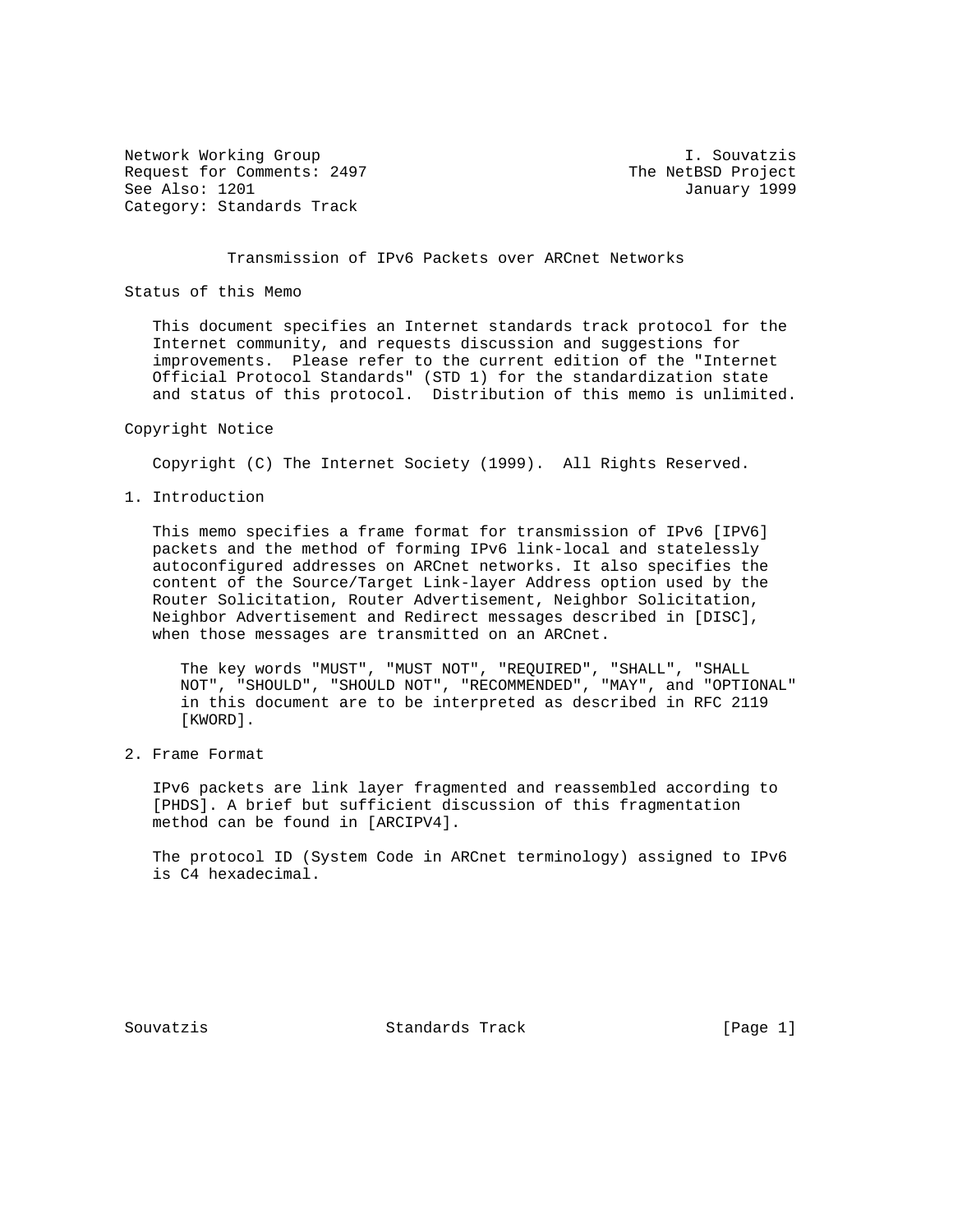Network Working Group and Souvatzis and Metwork Working Group and Souvatzis Request for Comments: 2497 The NetBSD Project See Also: 1201 January 1999 Category: Standards Track

Transmission of IPv6 Packets over ARCnet Networks

Status of this Memo

 This document specifies an Internet standards track protocol for the Internet community, and requests discussion and suggestions for improvements. Please refer to the current edition of the "Internet Official Protocol Standards" (STD 1) for the standardization state and status of this protocol. Distribution of this memo is unlimited.

## Copyright Notice

Copyright (C) The Internet Society (1999). All Rights Reserved.

1. Introduction

 This memo specifies a frame format for transmission of IPv6 [IPV6] packets and the method of forming IPv6 link-local and statelessly autoconfigured addresses on ARCnet networks. It also specifies the content of the Source/Target Link-layer Address option used by the Router Solicitation, Router Advertisement, Neighbor Solicitation, Neighbor Advertisement and Redirect messages described in [DISC], when those messages are transmitted on an ARCnet.

 The key words "MUST", "MUST NOT", "REQUIRED", "SHALL", "SHALL NOT", "SHOULD", "SHOULD NOT", "RECOMMENDED", "MAY", and "OPTIONAL" in this document are to be interpreted as described in RFC 2119 [KWORD].

2. Frame Format

 IPv6 packets are link layer fragmented and reassembled according to [PHDS]. A brief but sufficient discussion of this fragmentation method can be found in [ARCIPV4].

 The protocol ID (System Code in ARCnet terminology) assigned to IPv6 is C4 hexadecimal.

Souvatzis **Standards Track** [Page 1]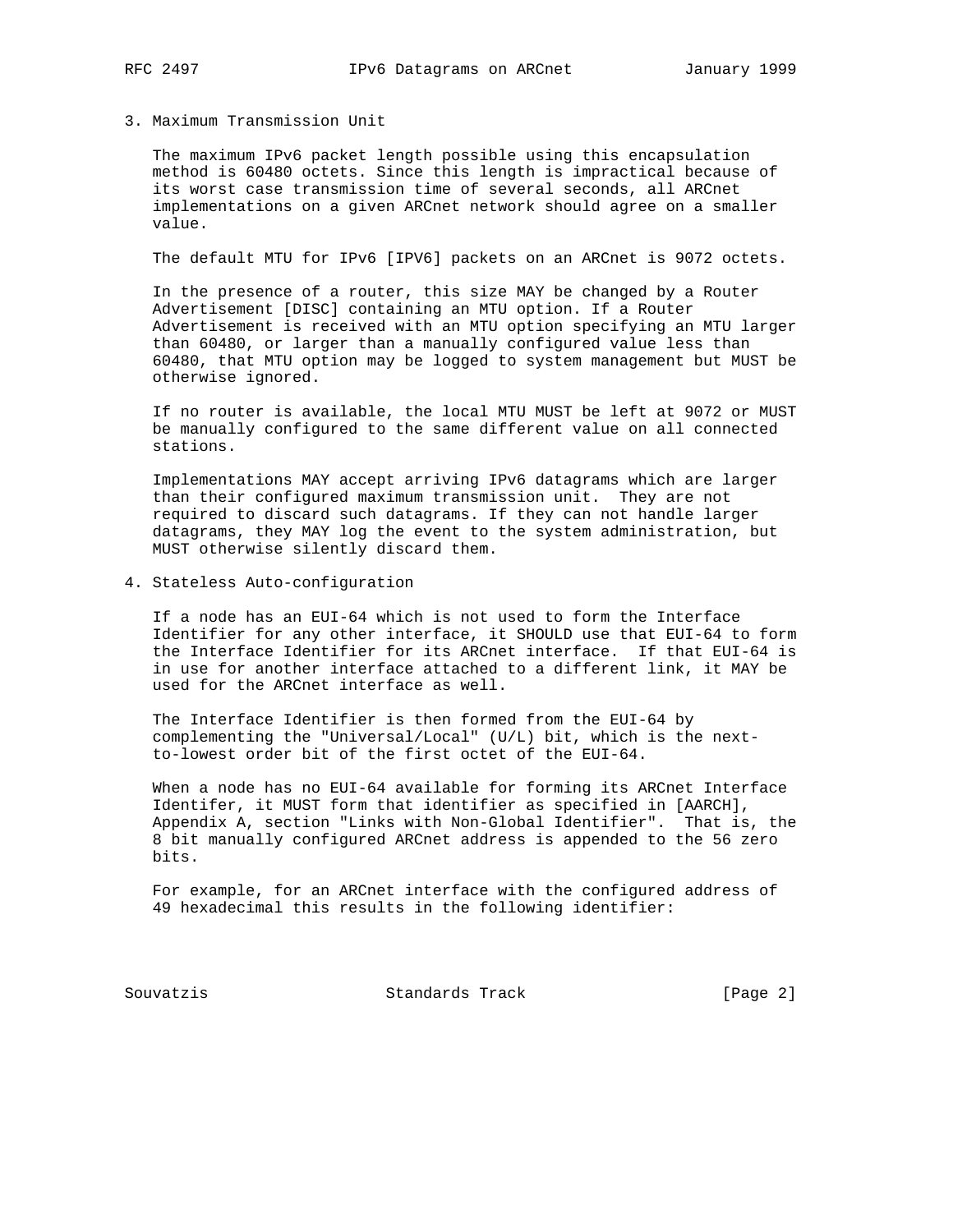## 3. Maximum Transmission Unit

 The maximum IPv6 packet length possible using this encapsulation method is 60480 octets. Since this length is impractical because of its worst case transmission time of several seconds, all ARCnet implementations on a given ARCnet network should agree on a smaller value.

The default MTU for IPv6 [IPV6] packets on an ARCnet is 9072 octets.

 In the presence of a router, this size MAY be changed by a Router Advertisement [DISC] containing an MTU option. If a Router Advertisement is received with an MTU option specifying an MTU larger than 60480, or larger than a manually configured value less than 60480, that MTU option may be logged to system management but MUST be otherwise ignored.

 If no router is available, the local MTU MUST be left at 9072 or MUST be manually configured to the same different value on all connected stations.

 Implementations MAY accept arriving IPv6 datagrams which are larger than their configured maximum transmission unit. They are not required to discard such datagrams. If they can not handle larger datagrams, they MAY log the event to the system administration, but MUST otherwise silently discard them.

4. Stateless Auto-configuration

 If a node has an EUI-64 which is not used to form the Interface Identifier for any other interface, it SHOULD use that EUI-64 to form the Interface Identifier for its ARCnet interface. If that EUI-64 is in use for another interface attached to a different link, it MAY be used for the ARCnet interface as well.

 The Interface Identifier is then formed from the EUI-64 by complementing the "Universal/Local" (U/L) bit, which is the next to-lowest order bit of the first octet of the EUI-64.

 When a node has no EUI-64 available for forming its ARCnet Interface Identifer, it MUST form that identifier as specified in [AARCH], Appendix A, section "Links with Non-Global Identifier". That is, the 8 bit manually configured ARCnet address is appended to the 56 zero bits.

 For example, for an ARCnet interface with the configured address of 49 hexadecimal this results in the following identifier:

Souvatzis Standards Track [Page 2]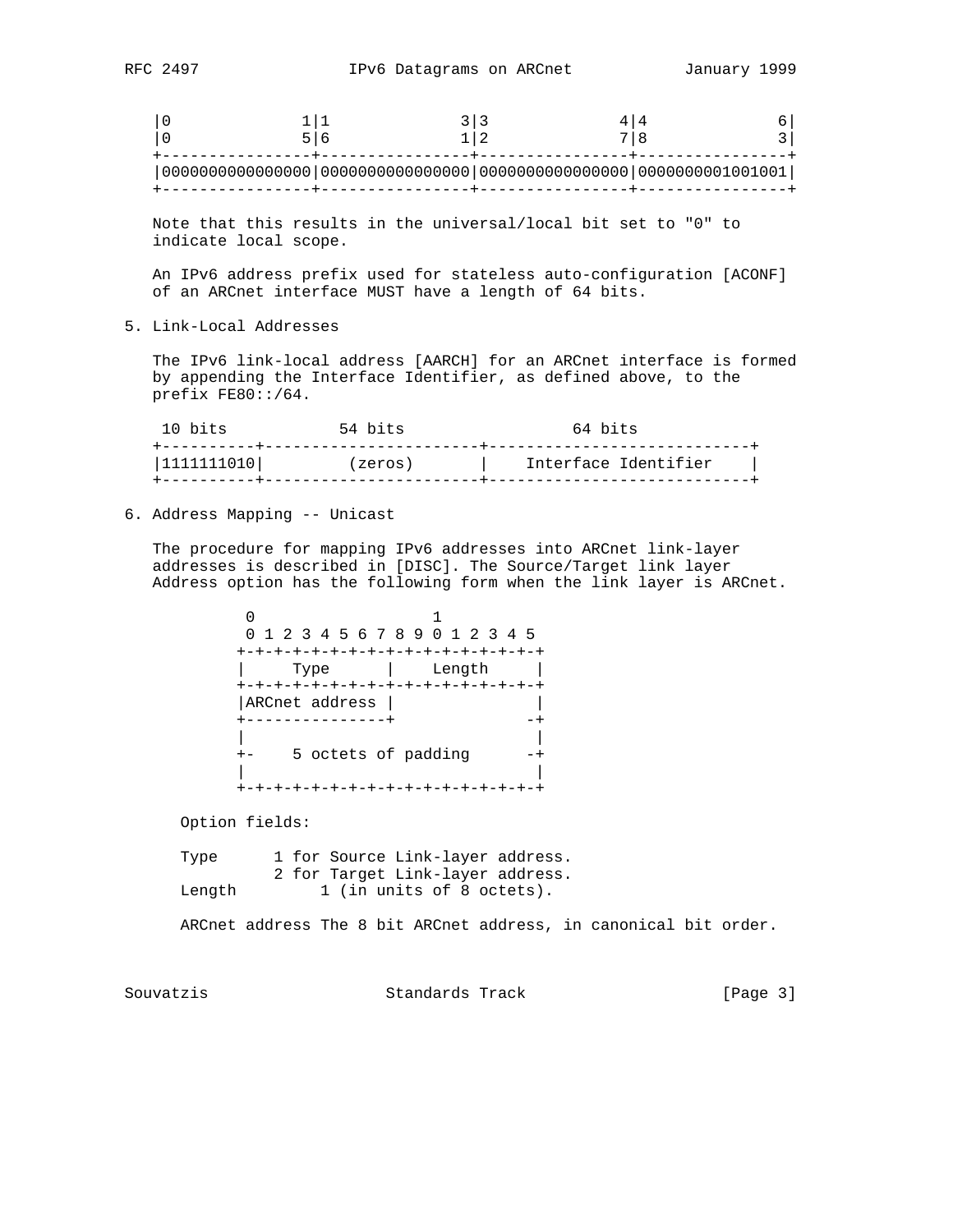Note that this results in the universal/local bit set to "0" to indicate local scope.

 An IPv6 address prefix used for stateless auto-configuration [ACONF] of an ARCnet interface MUST have a length of 64 bits.

5. Link-Local Addresses

 The IPv6 link-local address [AARCH] for an ARCnet interface is formed by appending the Interface Identifier, as defined above, to the prefix FE80::/64.

| 10 bits      | 54 bits | 64 bits              |
|--------------|---------|----------------------|
| 111111110101 | (zeros) | Interface Identifier |
|              |         |                      |

6. Address Mapping -- Unicast

 The procedure for mapping IPv6 addresses into ARCnet link-layer addresses is described in [DISC]. The Source/Target link layer Address option has the following form when the link layer is ARCnet.

 $\sim$  1 0 1 2 3 4 5 6 7 8 9 0 1 2 3 4 5 +-+-+-+-+-+-+-+-+-+-+-+-+-+-+-+-+ | Type | Length | +-+-+-+-+-+-+-+-+-+-+-+-+-+-+-+-+ |ARCnet address | | +---------------+ -+ | | +- 5 octets of padding -+ | | +-+-+-+-+-+-+-+-+-+-+-+-+-+-+-+-+

Option fields:

Type 1 for Source Link-layer address. 2 for Target Link-layer address. Length 1 (in units of 8 octets).

ARCnet address The 8 bit ARCnet address, in canonical bit order.

Souvatzis Standards Track [Page 3]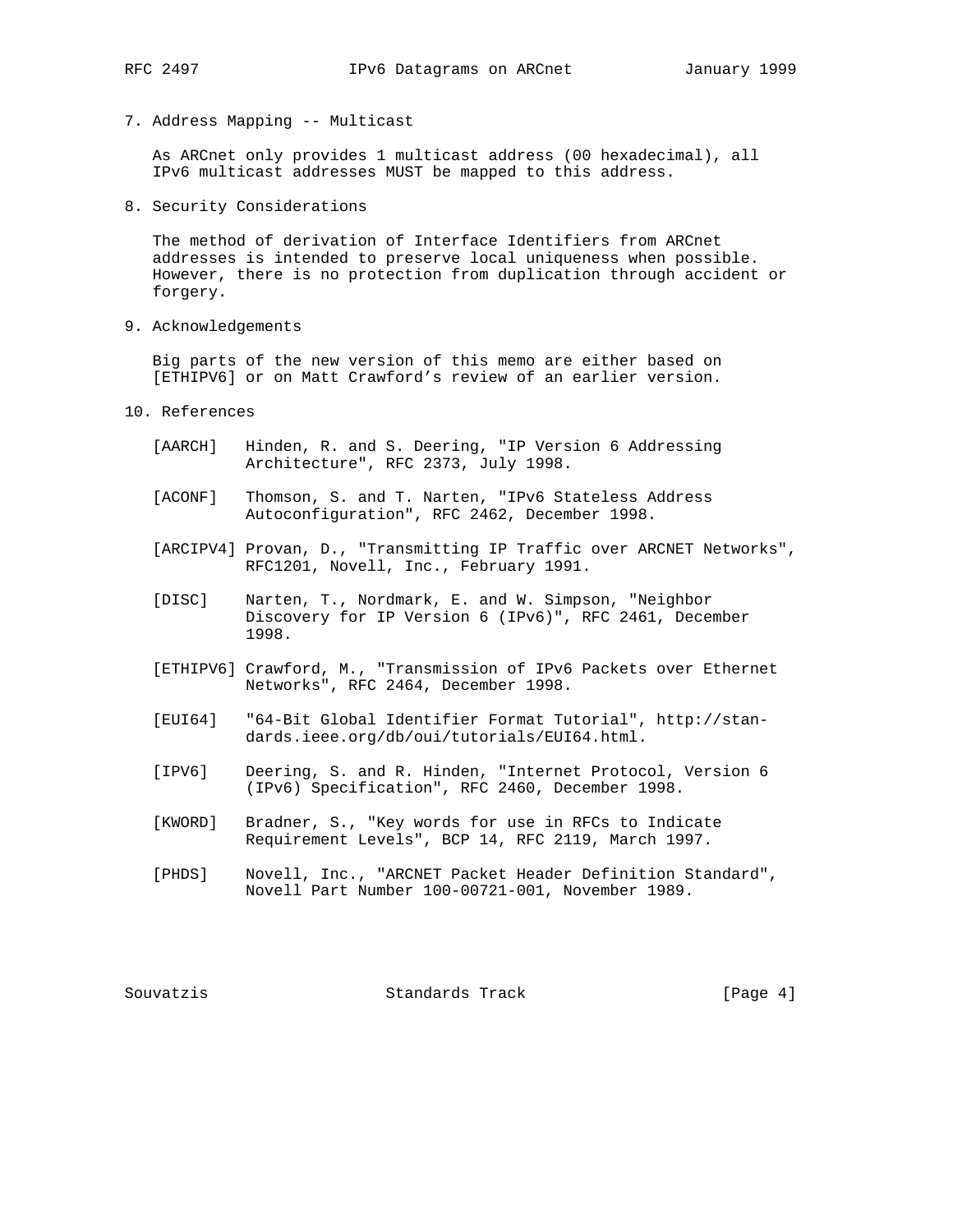- 
- 7. Address Mapping -- Multicast

 As ARCnet only provides 1 multicast address (00 hexadecimal), all IPv6 multicast addresses MUST be mapped to this address.

8. Security Considerations

 The method of derivation of Interface Identifiers from ARCnet addresses is intended to preserve local uniqueness when possible. However, there is no protection from duplication through accident or forgery.

9. Acknowledgements

 Big parts of the new version of this memo are either based on [ETHIPV6] or on Matt Crawford's review of an earlier version.

- 10. References
	- [AARCH] Hinden, R. and S. Deering, "IP Version 6 Addressing Architecture", RFC 2373, July 1998.
	- [ACONF] Thomson, S. and T. Narten, "IPv6 Stateless Address Autoconfiguration", RFC 2462, December 1998.
	- [ARCIPV4] Provan, D., "Transmitting IP Traffic over ARCNET Networks", RFC1201, Novell, Inc., February 1991.
	- [DISC] Narten, T., Nordmark, E. and W. Simpson, "Neighbor Discovery for IP Version 6 (IPv6)", RFC 2461, December 1998.
	- [ETHIPV6] Crawford, M., "Transmission of IPv6 Packets over Ethernet Networks", RFC 2464, December 1998.
	- [EUI64] "64-Bit Global Identifier Format Tutorial", http://stan dards.ieee.org/db/oui/tutorials/EUI64.html.
	- [IPV6] Deering, S. and R. Hinden, "Internet Protocol, Version 6 (IPv6) Specification", RFC 2460, December 1998.
	- [KWORD] Bradner, S., "Key words for use in RFCs to Indicate Requirement Levels", BCP 14, RFC 2119, March 1997.
	- [PHDS] Novell, Inc., "ARCNET Packet Header Definition Standard", Novell Part Number 100-00721-001, November 1989.

Souvatzis Standards Track (Page 4)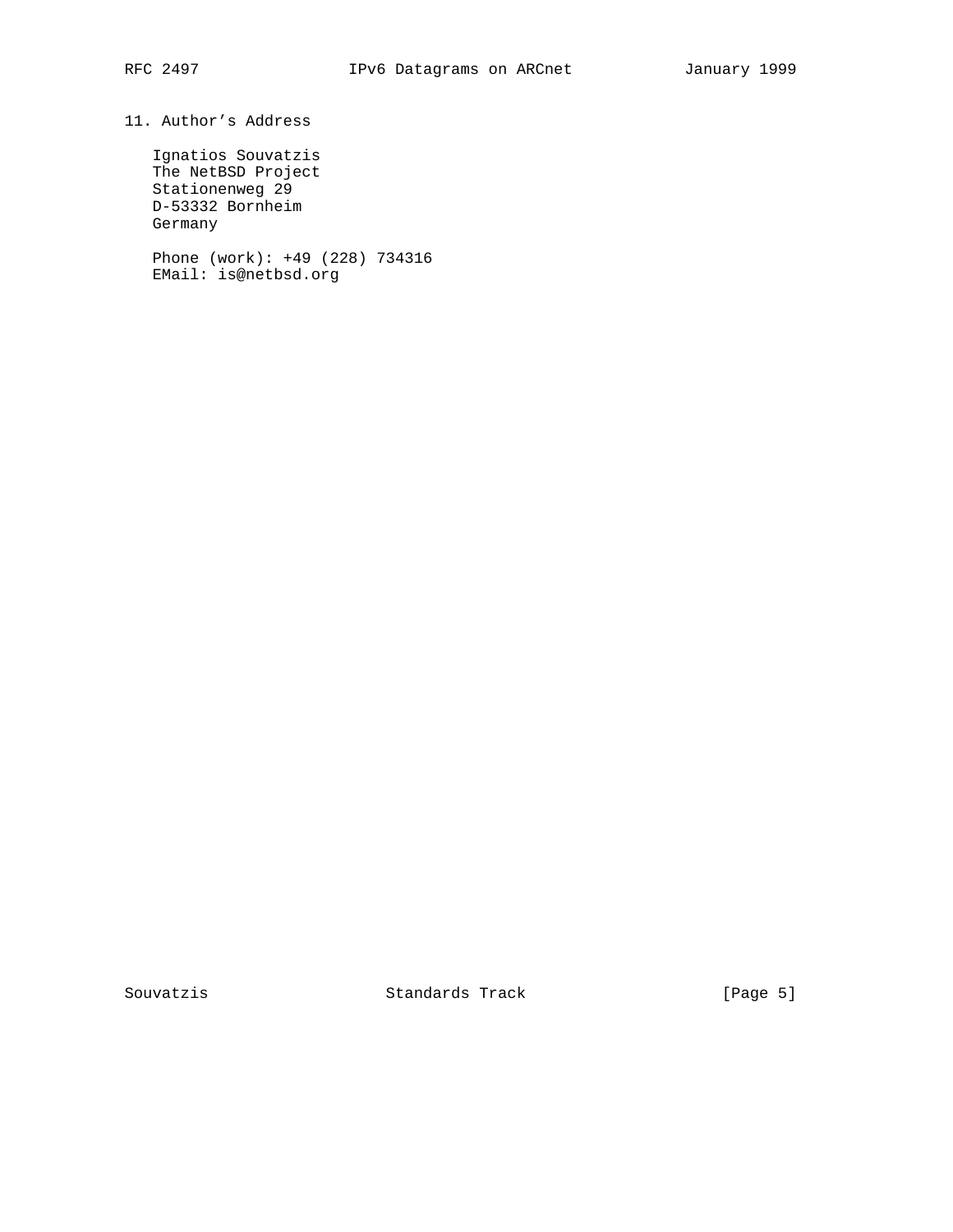## 11. Author's Address

 Ignatios Souvatzis The NetBSD Project Stationenweg 29 D-53332 Bornheim Germany

 Phone (work): +49 (228) 734316 EMail: is@netbsd.org

Souvatzis Standards Track [Page 5]